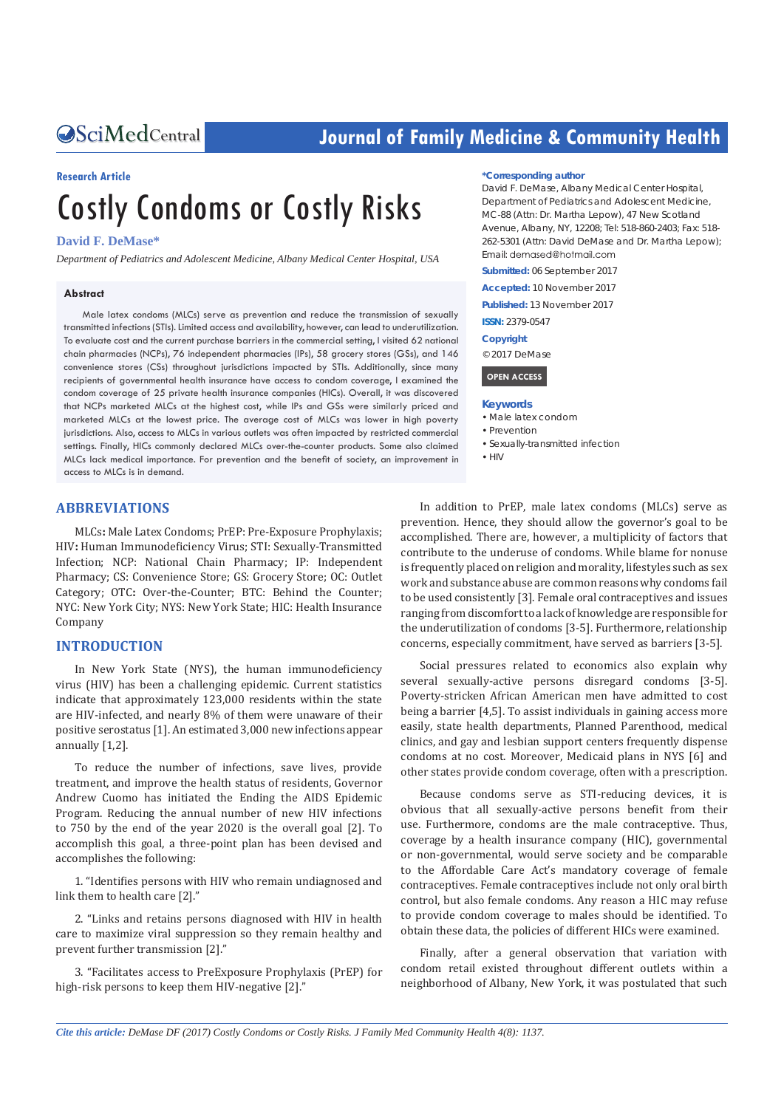# **CALCERT CONFIDENTIAL CONTROLLER COMMUNITY Health**

#### **Research Article**

# Costly Condoms or Costly Risks

#### **David F. DeMase\***

*Department of Pediatrics and Adolescent Medicine, Albany Medical Center Hospital, USA*

#### **Abstract**

Male latex condoms (MLCs) serve as prevention and reduce the transmission of sexually transmitted infections (STIs). Limited access and availability, however, can lead to underutilization. To evaluate cost and the current purchase barriers in the commercial setting, I visited 62 national chain pharmacies (NCPs), 76 independent pharmacies (IPs), 58 grocery stores (GSs), and 146 convenience stores (CSs) throughout jurisdictions impacted by STIs. Additionally, since many recipients of governmental health insurance have access to condom coverage, I examined the condom coverage of 25 private health insurance companies (HICs). Overall, it was discovered that NCPs marketed MLCs at the highest cost, while IPs and GSs were similarly priced and marketed MLCs at the lowest price. The average cost of MLCs was lower in high poverty jurisdictions. Also, access to MLCs in various outlets was often impacted by restricted commercial settings. Finally, HICs commonly declared MLCs over-the-counter products. Some also claimed MLCs lack medical importance. For prevention and the benefit of society, an improvement in access to MLCs is in demand.

#### **ABBREVIATIONS**

MLCs**:** Male Latex Condoms; PrEP: Pre-Exposure Prophylaxis; HIV**:** Human Immunodeficiency Virus; STI: Sexually-Transmitted Infection; NCP: National Chain Pharmacy; IP: Independent Pharmacy; CS: Convenience Store; GS: Grocery Store; OC: Outlet Category; OTC**:** Over-the-Counter; BTC: Behind the Counter; NYC: New York City; NYS: New York State; HIC: Health Insurance Company

#### **INTRODUCTION**

In New York State (NYS), the human immunodeficiency virus (HIV) has been a challenging epidemic. Current statistics indicate that approximately 123,000 residents within the state are HIV-infected, and nearly 8% of them were unaware of their positive serostatus [1]. An estimated 3,000 new infections appear annually [1,2].

To reduce the number of infections, save lives, provide treatment, and improve the health status of residents, Governor Andrew Cuomo has initiated the Ending the AIDS Epidemic Program. Reducing the annual number of new HIV infections to 750 by the end of the year 2020 is the overall goal [2]. To accomplish this goal, a three-point plan has been devised and accomplishes the following:

1. "Identifies persons with HIV who remain undiagnosed and link them to health care [2]."

2. "Links and retains persons diagnosed with HIV in health care to maximize viral suppression so they remain healthy and prevent further transmission [2]."

3. "Facilitates access to PreExposure Prophylaxis (PrEP) for high-risk persons to keep them HIV-negative [2]."

#### **\*Corresponding author**

David F. DeMase, Albany Medical Center Hospital, Department of Pediatrics and Adolescent Medicine, MC-88 (Attn: Dr. Martha Lepow), 47 New Scotland Avenue, Albany, NY, 12208; Tel: 518-860-2403; Fax: 518- 262-5301 (Attn: David DeMase and Dr. Martha Lepow); Email: demased@hotmail.com

**Submitted:** 06 September 2017

**Accepted:** 10 November 2017

**Published:** 13 November 2017

**ISSN:** 2379-0547

**Copyright**

© 2017 DeMase

 **OPEN ACCESS** 

#### **Keywords**

- • Male latex condom
- • Prevention

• Sexually-transmitted infection

 $\bullet$  HIV

In addition to PrEP, male latex condoms (MLCs) serve as prevention. Hence, they should allow the governor's goal to be accomplished. There are, however, a multiplicity of factors that contribute to the underuse of condoms. While blame for nonuse is frequently placed on religion and morality, lifestyles such as sex work and substance abuse are common reasons why condoms fail to be used consistently [3]. Female oral contraceptives and issues ranging from discomfort to a lack of knowledge are responsible for the underutilization of condoms [3-5]. Furthermore, relationship concerns, especially commitment, have served as barriers [3-5].

Social pressures related to economics also explain why several sexually-active persons disregard condoms [3-5]. Poverty-stricken African American men have admitted to cost being a barrier [4,5]. To assist individuals in gaining access more easily, state health departments, Planned Parenthood, medical clinics, and gay and lesbian support centers frequently dispense condoms at no cost. Moreover, Medicaid plans in NYS [6] and other states provide condom coverage, often with a prescription.

Because condoms serve as STI-reducing devices, it is obvious that all sexually-active persons benefit from their use. Furthermore, condoms are the male contraceptive. Thus, coverage by a health insurance company (HIC), governmental or non-governmental, would serve society and be comparable to the Affordable Care Act's mandatory coverage of female contraceptives. Female contraceptives include not only oral birth control, but also female condoms. Any reason a HIC may refuse to provide condom coverage to males should be identified. To obtain these data, the policies of different HICs were examined.

Finally, after a general observation that variation with condom retail existed throughout different outlets within a neighborhood of Albany, New York, it was postulated that such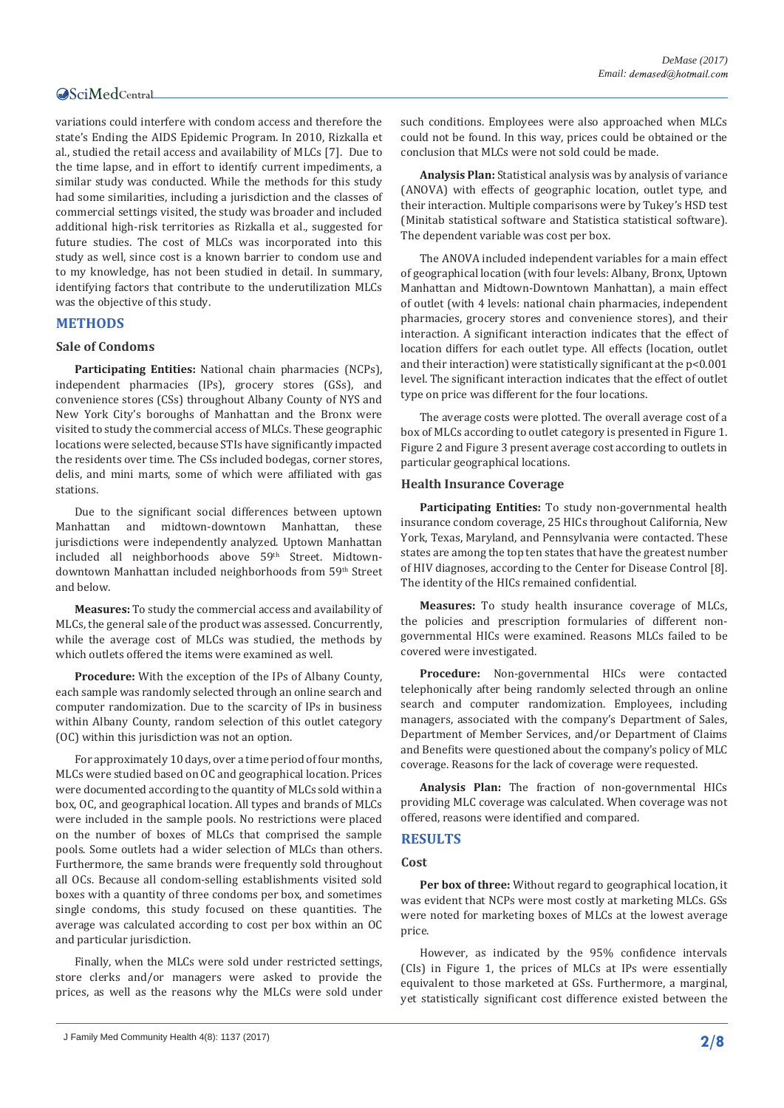variations could interfere with condom access and therefore the state's Ending the AIDS Epidemic Program. In 2010, Rizkalla et al., studied the retail access and availability of MLCs [7]. Due to the time lapse, and in effort to identify current impediments, a similar study was conducted. While the methods for this study had some similarities, including a jurisdiction and the classes of commercial settings visited, the study was broader and included additional high-risk territories as Rizkalla et al., suggested for future studies. The cost of MLCs was incorporated into this study as well, since cost is a known barrier to condom use and to my knowledge, has not been studied in detail. In summary, identifying factors that contribute to the underutilization MLCs was the objective of this study.

#### **METHODS**

#### **Sale of Condoms**

**Participating Entities:** National chain pharmacies (NCPs), independent pharmacies (IPs), grocery stores (GSs), and convenience stores (CSs) throughout Albany County of NYS and New York City's boroughs of Manhattan and the Bronx were visited to study the commercial access of MLCs. These geographic locations were selected, because STIs have significantly impacted the residents over time. The CSs included bodegas, corner stores, delis, and mini marts, some of which were affiliated with gas stations.

Due to the significant social differences between uptown Manhattan and midtown-downtown Manhattan, these jurisdictions were independently analyzed. Uptown Manhattan included all neighborhoods above 59<sup>th</sup> Street. Midtowndowntown Manhattan included neighborhoods from 59<sup>th</sup> Street and below.

**Measures:** To study the commercial access and availability of MLCs, the general sale of the product was assessed. Concurrently, while the average cost of MLCs was studied, the methods by which outlets offered the items were examined as well.

**Procedure:** With the exception of the IPs of Albany County, each sample was randomly selected through an online search and computer randomization. Due to the scarcity of IPs in business within Albany County, random selection of this outlet category (OC) within this jurisdiction was not an option.

For approximately 10 days, over a time period of four months, MLCs were studied based on OC and geographical location. Prices were documented according to the quantity of MLCs sold within a box, OC, and geographical location. All types and brands of MLCs were included in the sample pools. No restrictions were placed on the number of boxes of MLCs that comprised the sample pools. Some outlets had a wider selection of MLCs than others. Furthermore, the same brands were frequently sold throughout all OCs. Because all condom-selling establishments visited sold boxes with a quantity of three condoms per box, and sometimes single condoms, this study focused on these quantities. The average was calculated according to cost per box within an OC and particular jurisdiction.

Finally, when the MLCs were sold under restricted settings, store clerks and/or managers were asked to provide the prices, as well as the reasons why the MLCs were sold under such conditions. Employees were also approached when MLCs could not be found. In this way, prices could be obtained or the conclusion that MLCs were not sold could be made.

**Analysis Plan:** Statistical analysis was by analysis of variance (ANOVA) with effects of geographic location, outlet type, and their interaction. Multiple comparisons were by Tukey's HSD test (Minitab statistical software and Statistica statistical software). The dependent variable was cost per box.

The ANOVA included independent variables for a main effect of geographical location (with four levels: Albany, Bronx, Uptown Manhattan and Midtown-Downtown Manhattan), a main effect of outlet (with 4 levels: national chain pharmacies, independent pharmacies, grocery stores and convenience stores), and their interaction. A significant interaction indicates that the effect of location differs for each outlet type. All effects (location, outlet and their interaction) were statistically significant at the p<0.001 level. The significant interaction indicates that the effect of outlet type on price was different for the four locations.

The average costs were plotted. The overall average cost of a box of MLCs according to outlet category is presented in Figure 1. Figure 2 and Figure 3 present average cost according to outlets in particular geographical locations.

#### **Health Insurance Coverage**

**Participating Entities:** To study non-governmental health insurance condom coverage, 25 HICs throughout California, New York, Texas, Maryland, and Pennsylvania were contacted. These states are among the top ten states that have the greatest number of HIV diagnoses, according to the Center for Disease Control [8]. The identity of the HICs remained confidential.

**Measures:** To study health insurance coverage of MLCs, the policies and prescription formularies of different nongovernmental HICs were examined. Reasons MLCs failed to be covered were investigated.

**Procedure:** Non-governmental HICs were contacted telephonically after being randomly selected through an online search and computer randomization. Employees, including managers, associated with the company's Department of Sales, Department of Member Services, and/or Department of Claims and Benefits were questioned about the company's policy of MLC coverage. Reasons for the lack of coverage were requested.

**Analysis Plan:** The fraction of non-governmental HICs providing MLC coverage was calculated. When coverage was not offered, reasons were identified and compared.

#### **RESULTS**

#### **Cost**

**Per box of three:** Without regard to geographical location, it was evident that NCPs were most costly at marketing MLCs. GSs were noted for marketing boxes of MLCs at the lowest average price.

However, as indicated by the 95% confidence intervals (CIs) in Figure 1, the prices of MLCs at IPs were essentially equivalent to those marketed at GSs. Furthermore, a marginal, yet statistically significant cost difference existed between the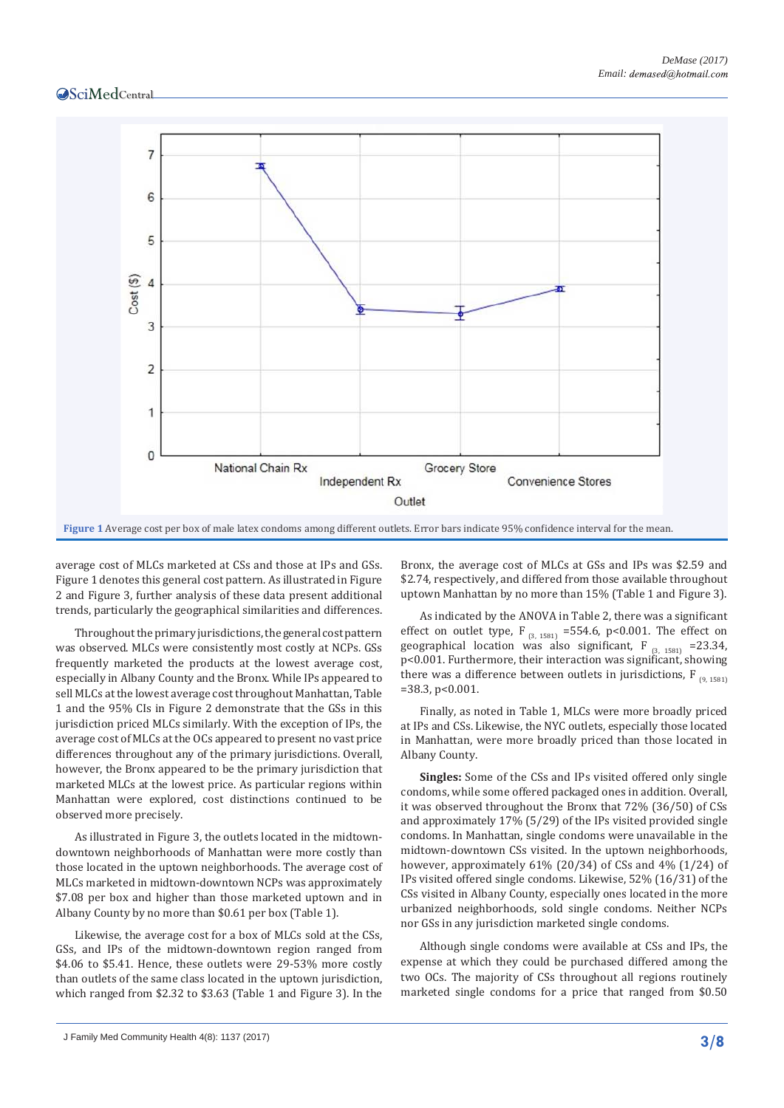

average cost of MLCs marketed at CSs and those at IPs and GSs. Figure 1 denotes this general cost pattern. As illustrated in Figure 2 and Figure 3, further analysis of these data present additional trends, particularly the geographical similarities and differences.

Throughout the primary jurisdictions, the general cost pattern was observed. MLCs were consistently most costly at NCPs. GSs frequently marketed the products at the lowest average cost, especially in Albany County and the Bronx. While IPs appeared to sell MLCs at the lowest average cost throughout Manhattan, Table 1 and the 95% CIs in Figure 2 demonstrate that the GSs in this jurisdiction priced MLCs similarly. With the exception of IPs, the average cost of MLCs at the OCs appeared to present no vast price differences throughout any of the primary jurisdictions. Overall, however, the Bronx appeared to be the primary jurisdiction that marketed MLCs at the lowest price. As particular regions within Manhattan were explored, cost distinctions continued to be observed more precisely.

As illustrated in Figure 3, the outlets located in the midtowndowntown neighborhoods of Manhattan were more costly than those located in the uptown neighborhoods. The average cost of MLCs marketed in midtown-downtown NCPs was approximately \$7.08 per box and higher than those marketed uptown and in Albany County by no more than \$0.61 per box (Table 1).

Likewise, the average cost for a box of MLCs sold at the CSs, GSs, and IPs of the midtown-downtown region ranged from \$4.06 to \$5.41. Hence, these outlets were 29-53% more costly than outlets of the same class located in the uptown jurisdiction, which ranged from \$2.32 to \$3.63 (Table 1 and Figure 3). In the

Bronx, the average cost of MLCs at GSs and IPs was \$2.59 and \$2.74, respectively, and differed from those available throughout uptown Manhattan by no more than 15% (Table 1 and Figure 3).

As indicated by the ANOVA in Table 2, there was a significant effect on outlet type, F<sub>(3, 1581)</sub> =554.6, p<0.001. The effect on geographical location was also significant, F  $_{(3, 1581)}$  =23.34, p<0.001. Furthermore, their interaction was significant, showing there was a difference between outlets in jurisdictions,  $F_{(9, 1581)}$  $=$ 38.3, p<0.001.

Finally, as noted in Table 1, MLCs were more broadly priced at IPs and CSs. Likewise, the NYC outlets, especially those located in Manhattan, were more broadly priced than those located in Albany County.

**Singles:** Some of the CSs and IPs visited offered only single condoms, while some offered packaged ones in addition. Overall, it was observed throughout the Bronx that 72% (36/50) of CSs and approximately 17% (5/29) of the IPs visited provided single condoms. In Manhattan, single condoms were unavailable in the midtown-downtown CSs visited. In the uptown neighborhoods, however, approximately 61% (20/34) of CSs and 4% (1/24) of IPs visited offered single condoms. Likewise, 52% (16/31) of the CSs visited in Albany County, especially ones located in the more urbanized neighborhoods, sold single condoms. Neither NCPs nor GSs in any jurisdiction marketed single condoms.

Although single condoms were available at CSs and IPs, the expense at which they could be purchased differed among the two OCs. The majority of CSs throughout all regions routinely marketed single condoms for a price that ranged from \$0.50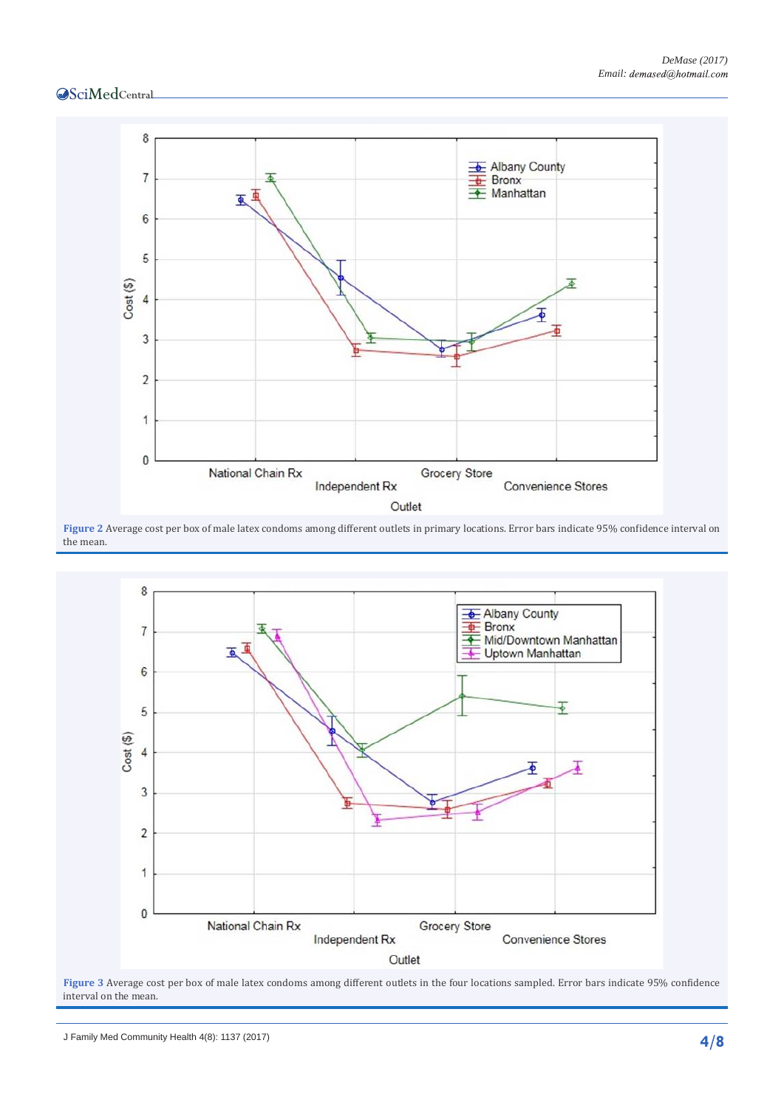

**Figure 2** Average cost per box of male latex condoms among different outlets in primary locations. Error bars indicate 95% confidence interval on the mean.



Figure 3 Average cost per box of male latex condoms among different outlets in the four locations sampled. Error bars indicate 95% confidence interval on the mean.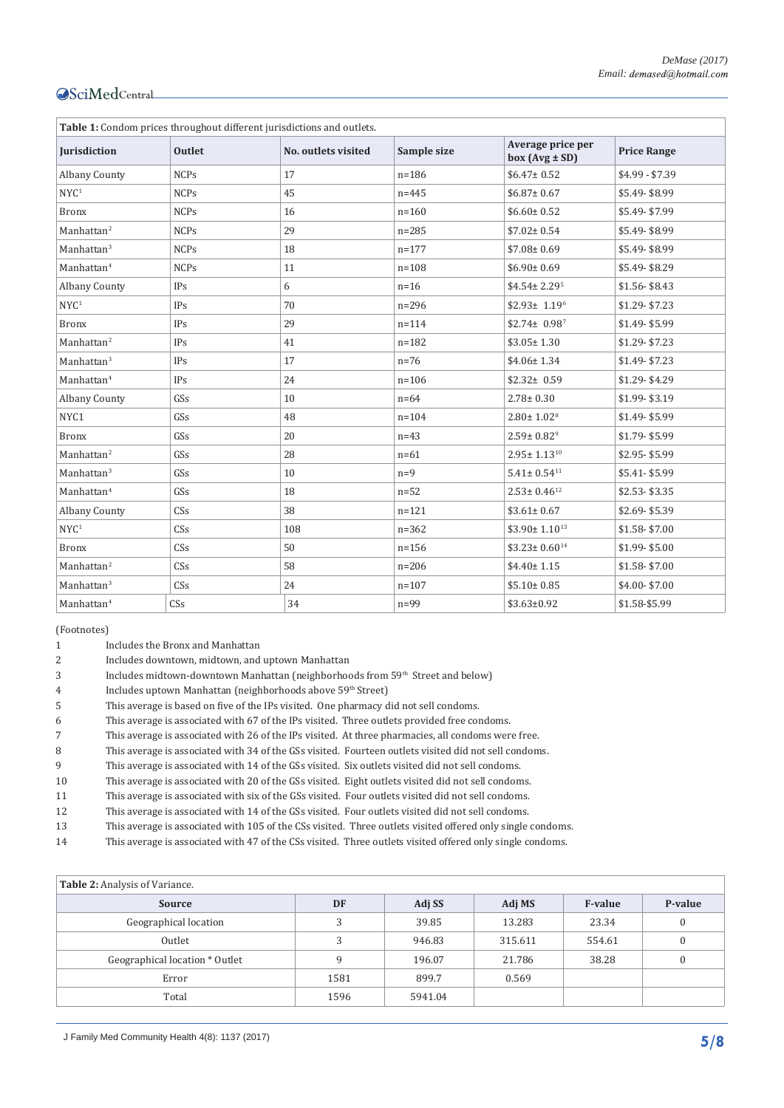| Table 1: Condom prices throughout different jurisdictions and outlets. |               |                     |             |                                         |                    |  |  |  |  |
|------------------------------------------------------------------------|---------------|---------------------|-------------|-----------------------------------------|--------------------|--|--|--|--|
| Jurisdiction                                                           | <b>Outlet</b> | No. outlets visited | Sample size | Average price per<br>$box (Avg \pm SD)$ | <b>Price Range</b> |  |  |  |  |
| <b>Albany County</b>                                                   | <b>NCPs</b>   | 17                  | $n = 186$   | $$6.47 \pm 0.52$                        | $$4.99 - $7.39$    |  |  |  |  |
| NYC <sup>1</sup>                                                       | <b>NCPs</b>   | 45                  | $n = 445$   | $$6.87 \pm 0.67$                        | \$5.49-\$8.99      |  |  |  |  |
| <b>Bronx</b>                                                           | <b>NCPs</b>   | 16                  | $n = 160$   | $$6.60 \pm 0.52$                        | \$5.49-\$7.99      |  |  |  |  |
| Manhattan <sup>2</sup>                                                 | <b>NCPs</b>   | 29                  | $n = 285$   | $$7.02 \pm 0.54$                        | \$5.49-\$8.99      |  |  |  |  |
| Manhattan <sup>3</sup>                                                 | <b>NCPs</b>   | 18                  | $n = 177$   | $$7.08 \pm 0.69$                        | \$5.49-\$8.99      |  |  |  |  |
| Manhattan <sup>4</sup>                                                 | <b>NCPs</b>   | 11                  | $n = 108$   | $$6.90 \pm 0.69$                        | \$5.49-\$8.29      |  |  |  |  |
| <b>Albany County</b>                                                   | <b>IPs</b>    | 6                   | $n=16$      | $$4.54 \pm 2.29$ <sup>5</sup>           | $$1.56 - $8.43$    |  |  |  |  |
| NYC <sup>1</sup>                                                       | <b>IPs</b>    | 70                  | $n = 296$   | $$2.93 \pm 1.19^6$                      | $$1.29 - $7.23$    |  |  |  |  |
| <b>Bronx</b>                                                           | <b>IPs</b>    | 29                  | $n = 114$   | $$2.74 \pm 0.98^7$                      | \$1.49-\$5.99      |  |  |  |  |
| Manhattan <sup>2</sup>                                                 | <b>IPs</b>    | 41                  | $n = 182$   | $$3.05 \pm 1.30$                        | $$1.29 - $7.23$    |  |  |  |  |
| Manhattan <sup>3</sup>                                                 | <b>IPs</b>    | 17                  | $n=76$      | $$4.06 \pm 1.34$                        | $$1.49 - $7.23$    |  |  |  |  |
| Manhattan <sup>4</sup>                                                 | <b>IPs</b>    | 24                  | $n = 106$   | $$2.32 \pm 0.59$                        | \$1.29-\$4.29      |  |  |  |  |
| <b>Albany County</b>                                                   | GSs           | 10                  | $n=64$      | $2.78 \pm 0.30$                         | \$1.99-\$3.19      |  |  |  |  |
| NYC1                                                                   | GSs           | 48                  | $n = 104$   | $2.80 \pm 1.02$ <sup>8</sup>            | \$1.49-\$5.99      |  |  |  |  |
| <b>Bronx</b>                                                           | GSs           | 20                  | $n=43$      | $2.59 \pm 0.82$ <sup>9</sup>            | \$1.79-\$5.99      |  |  |  |  |
| Manhattan <sup>2</sup>                                                 | GSs           | 28                  | $n=61$      | $2.95 \pm 1.13^{10}$                    | \$2.95-\$5.99      |  |  |  |  |
| Manhattan <sup>3</sup>                                                 | GSs           | 10                  | $n=9$       | $5.41 \pm 0.54$ <sup>11</sup>           | \$5.41-\$5.99      |  |  |  |  |
| Manhattan <sup>4</sup>                                                 | GSs           | 18                  | $n=52$      | $2.53 \pm 0.46^{12}$                    | $$2.53 - $3.35$    |  |  |  |  |
| <b>Albany County</b>                                                   | CSs           | 38                  | $n = 121$   | $$3.61 \pm 0.67$                        | \$2.69-\$5.39      |  |  |  |  |
| NYC <sup>1</sup>                                                       | CSs           | 108                 | $n = 362$   | $$3.90 \pm 1.10^{13}$                   | \$1.58-\$7.00      |  |  |  |  |
| <b>Bronx</b>                                                           | CSs           | 50                  | $n = 156$   | $$3.23 \pm 0.60^{14}$                   | \$1.99-\$5.00      |  |  |  |  |
| Manhattan $2$                                                          | CSs           | 58                  | $n = 206$   | $$4.40 \pm 1.15$                        | $$1.58 - $7.00$    |  |  |  |  |
| Manhattan <sup>3</sup>                                                 | CSs           | 24                  | $n = 107$   | $$5.10 \pm 0.85$                        | \$4.00-\$7.00      |  |  |  |  |
| Manhattan <sup>4</sup>                                                 | CSs           | 34                  | $n=99$      | $$3.63 \pm 0.92$                        | \$1.58-\$5.99      |  |  |  |  |

(Footnotes)

- 1 Includes the Bronx and Manhattan<br>2 Includes downtown, midtown, and
- 2 Includes downtown, midtown, and uptown Manhattan
- 3 Includes midtown-downtown Manhattan (neighborhoods from 59<sup>th</sup> Street and below)
- 4 Includes uptown Manhattan (neighborhoods above 59<sup>th</sup> Street)<br>5 This average is based on five of the IPs visited. One pharmacy d
- This average is based on five of the IPs visited. One pharmacy did not sell condoms.
- 6 This average is associated with 67 of the IPs visited. Three outlets provided free condoms.
- 7 This average is associated with 26 of the IPs visited. At three pharmacies, all condoms were free.
- 8 This average is associated with 34 of the GSs visited. Fourteen outlets visited did not sell condoms.<br>9 This average is associated with 14 of the GSs visited. Six outlets visited did not sell condoms.
- 9 This average is associated with 14 of the GSs visited. Six outlets visited did not sell condoms.<br>10 This average is associated with 20 of the GSs visited. Eight outlets visited did not sell condom
- This average is associated with 20 of the GSs visited. Eight outlets visited did not sell condoms.
- 
- 11 This average is associated with six of the GSs visited. Four outlets visited did not sell condoms.<br>12 This average is associated with 14 of the GSs visited. Four outlets visited did not sell condoms. 12 This average is associated with 14 of the GSs visited. Four outlets visited did not sell condoms.<br>13 This average is associated with 105 of the CSs visited. Three outlets visited offered only single
- 13 This average is associated with 105 of the CSs visited. Three outlets visited offered only single condoms.<br>14 This average is associated with 47 of the CSs visited. Three outlets visited offered only single condoms.
- This average is associated with 47 of the CSs visited. Three outlets visited offered only single condoms.

| Table 2: Analysis of Variance. |      |         |         |                |              |  |  |  |  |
|--------------------------------|------|---------|---------|----------------|--------------|--|--|--|--|
| <b>Source</b>                  | DF   | Adj SS  | Adj MS  | <b>F-value</b> | P-value      |  |  |  |  |
| Geographical location          | 3    | 39.85   | 13.283  | 23.34          | 0            |  |  |  |  |
| Outlet                         | 3    | 946.83  | 315.611 | 554.61         | $\mathbf{0}$ |  |  |  |  |
| Geographical location * Outlet | 9    | 196.07  | 21.786  | 38.28          | 0            |  |  |  |  |
| Error                          | 1581 | 899.7   | 0.569   |                |              |  |  |  |  |
| Total                          | 1596 | 5941.04 |         |                |              |  |  |  |  |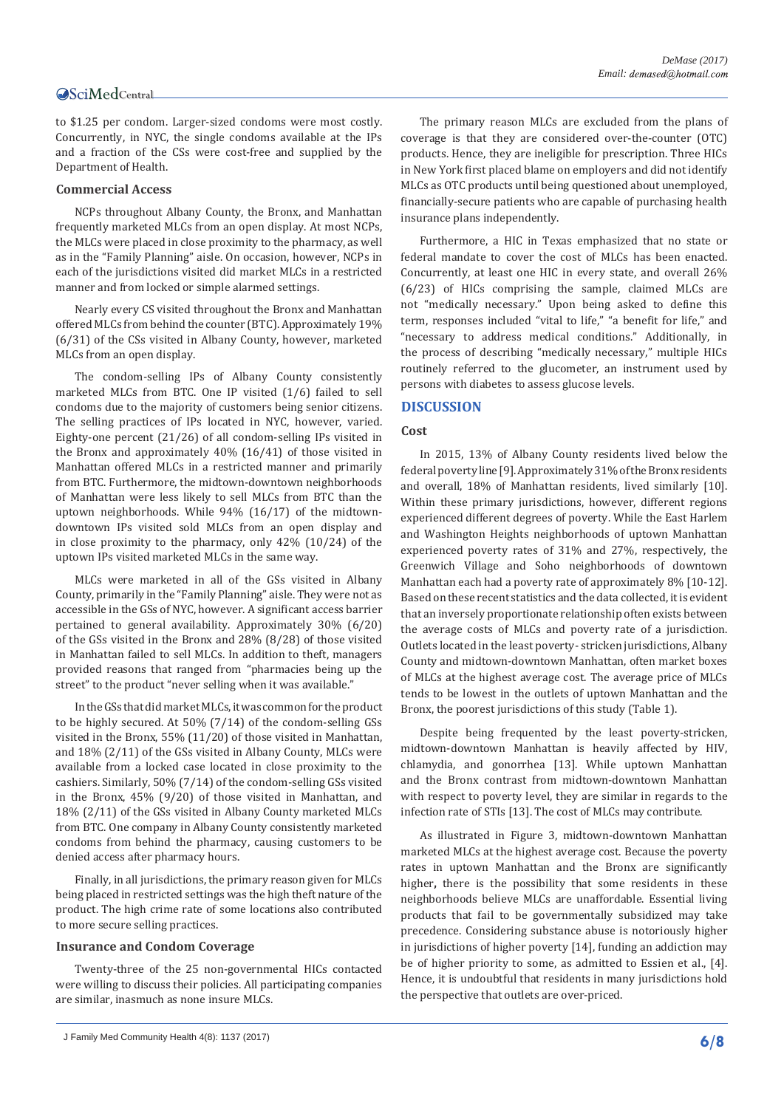to \$1.25 per condom. Larger-sized condoms were most costly. Concurrently, in NYC, the single condoms available at the IPs and a fraction of the CSs were cost-free and supplied by the Department of Health.

#### **Commercial Access**

NCPs throughout Albany County, the Bronx, and Manhattan frequently marketed MLCs from an open display. At most NCPs, the MLCs were placed in close proximity to the pharmacy, as well as in the "Family Planning" aisle. On occasion, however, NCPs in each of the jurisdictions visited did market MLCs in a restricted manner and from locked or simple alarmed settings.

Nearly every CS visited throughout the Bronx and Manhattan offered MLCs from behind the counter (BTC). Approximately 19% (6/31) of the CSs visited in Albany County, however, marketed MLCs from an open display.

The condom-selling IPs of Albany County consistently marketed MLCs from BTC. One IP visited (1/6) failed to sell condoms due to the majority of customers being senior citizens. The selling practices of IPs located in NYC, however, varied. Eighty-one percent (21/26) of all condom-selling IPs visited in the Bronx and approximately 40% (16/41) of those visited in Manhattan offered MLCs in a restricted manner and primarily from BTC. Furthermore, the midtown-downtown neighborhoods of Manhattan were less likely to sell MLCs from BTC than the uptown neighborhoods. While 94% (16/17) of the midtowndowntown IPs visited sold MLCs from an open display and in close proximity to the pharmacy, only 42% (10/24) of the uptown IPs visited marketed MLCs in the same way.

MLCs were marketed in all of the GSs visited in Albany County, primarily in the "Family Planning" aisle. They were not as accessible in the GSs of NYC, however. A significant access barrier pertained to general availability. Approximately 30% (6/20) of the GSs visited in the Bronx and 28% (8/28) of those visited in Manhattan failed to sell MLCs. In addition to theft, managers provided reasons that ranged from "pharmacies being up the street" to the product "never selling when it was available."

In the GSs that did market MLCs, it was common for the product to be highly secured. At 50% (7/14) of the condom-selling GSs visited in the Bronx, 55% (11/20) of those visited in Manhattan, and 18% (2/11) of the GSs visited in Albany County, MLCs were available from a locked case located in close proximity to the cashiers. Similarly, 50% (7/14) of the condom-selling GSs visited in the Bronx, 45% (9/20) of those visited in Manhattan, and 18% (2/11) of the GSs visited in Albany County marketed MLCs from BTC. One company in Albany County consistently marketed condoms from behind the pharmacy, causing customers to be denied access after pharmacy hours.

Finally, in all jurisdictions, the primary reason given for MLCs being placed in restricted settings was the high theft nature of the product. The high crime rate of some locations also contributed to more secure selling practices.

#### **Insurance and Condom Coverage**

Twenty-three of the 25 non-governmental HICs contacted were willing to discuss their policies. All participating companies are similar, inasmuch as none insure MLCs.

The primary reason MLCs are excluded from the plans of coverage is that they are considered over-the-counter (OTC) products. Hence, they are ineligible for prescription. Three HICs in New York first placed blame on employers and did not identify MLCs as OTC products until being questioned about unemployed, financially-secure patients who are capable of purchasing health insurance plans independently.

Furthermore, a HIC in Texas emphasized that no state or federal mandate to cover the cost of MLCs has been enacted. Concurrently, at least one HIC in every state, and overall 26% (6/23) of HICs comprising the sample, claimed MLCs are not "medically necessary." Upon being asked to define this term, responses included "vital to life," "a benefit for life," and "necessary to address medical conditions." Additionally, in the process of describing "medically necessary," multiple HICs routinely referred to the glucometer, an instrument used by persons with diabetes to assess glucose levels.

#### **DISCUSSION**

#### **Cost**

In 2015, 13% of Albany County residents lived below the federal poverty line [9]. Approximately 31% of the Bronx residents and overall, 18% of Manhattan residents, lived similarly [10]. Within these primary jurisdictions, however, different regions experienced different degrees of poverty. While the East Harlem and Washington Heights neighborhoods of uptown Manhattan experienced poverty rates of 31% and 27%, respectively, the Greenwich Village and Soho neighborhoods of downtown Manhattan each had a poverty rate of approximately 8% [10-12]. Based on these recent statistics and the data collected, it is evident that an inversely proportionate relationship often exists between the average costs of MLCs and poverty rate of a jurisdiction. Outlets located in the least poverty- stricken jurisdictions, Albany County and midtown-downtown Manhattan, often market boxes of MLCs at the highest average cost. The average price of MLCs tends to be lowest in the outlets of uptown Manhattan and the Bronx, the poorest jurisdictions of this study (Table 1).

Despite being frequented by the least poverty-stricken, midtown-downtown Manhattan is heavily affected by HIV, chlamydia, and gonorrhea [13]. While uptown Manhattan and the Bronx contrast from midtown-downtown Manhattan with respect to poverty level, they are similar in regards to the infection rate of STIs [13]. The cost of MLCs may contribute.

As illustrated in Figure 3, midtown-downtown Manhattan marketed MLCs at the highest average cost. Because the poverty rates in uptown Manhattan and the Bronx are significantly higher**,** there is the possibility that some residents in these neighborhoods believe MLCs are unaffordable. Essential living products that fail to be governmentally subsidized may take precedence. Considering substance abuse is notoriously higher in jurisdictions of higher poverty [14], funding an addiction may be of higher priority to some, as admitted to Essien et al., [4]. Hence, it is undoubtful that residents in many jurisdictions hold the perspective that outlets are over-priced.

J Family Med Community Health 4(8): 1137 (2017) **6/8**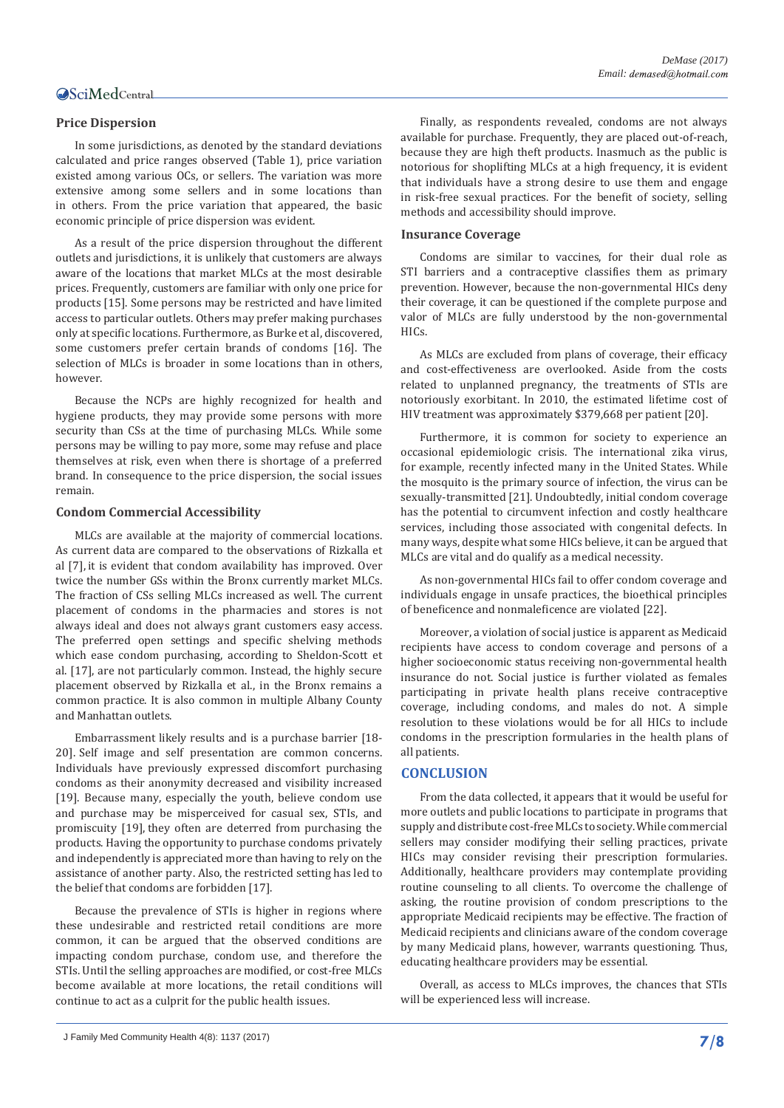#### **Price Dispersion**

In some jurisdictions, as denoted by the standard deviations calculated and price ranges observed (Table 1), price variation existed among various OCs, or sellers. The variation was more extensive among some sellers and in some locations than in others. From the price variation that appeared, the basic economic principle of price dispersion was evident.

As a result of the price dispersion throughout the different outlets and jurisdictions, it is unlikely that customers are always aware of the locations that market MLCs at the most desirable prices. Frequently, customers are familiar with only one price for products [15]. Some persons may be restricted and have limited access to particular outlets. Others may prefer making purchases only at specific locations. Furthermore, as Burke et al, discovered, some customers prefer certain brands of condoms [16]. The selection of MLCs is broader in some locations than in others, however.

Because the NCPs are highly recognized for health and hygiene products, they may provide some persons with more security than CSs at the time of purchasing MLCs. While some persons may be willing to pay more, some may refuse and place themselves at risk, even when there is shortage of a preferred brand. In consequence to the price dispersion, the social issues remain.

#### **Condom Commercial Accessibility**

MLCs are available at the majority of commercial locations. As current data are compared to the observations of Rizkalla et al [7], it is evident that condom availability has improved. Over twice the number GSs within the Bronx currently market MLCs. The fraction of CSs selling MLCs increased as well. The current placement of condoms in the pharmacies and stores is not always ideal and does not always grant customers easy access. The preferred open settings and specific shelving methods which ease condom purchasing, according to Sheldon-Scott et al. [17], are not particularly common. Instead, the highly secure placement observed by Rizkalla et al., in the Bronx remains a common practice. It is also common in multiple Albany County and Manhattan outlets.

Embarrassment likely results and is a purchase barrier [18- 20]. Self image and self presentation are common concerns. Individuals have previously expressed discomfort purchasing condoms as their anonymity decreased and visibility increased [19]. Because many, especially the youth, believe condom use and purchase may be misperceived for casual sex, STIs, and promiscuity [19], they often are deterred from purchasing the products. Having the opportunity to purchase condoms privately and independently is appreciated more than having to rely on the assistance of another party. Also, the restricted setting has led to the belief that condoms are forbidden [17].

Because the prevalence of STIs is higher in regions where these undesirable and restricted retail conditions are more common, it can be argued that the observed conditions are impacting condom purchase, condom use, and therefore the STIs. Until the selling approaches are modified, or cost-free MLCs become available at more locations, the retail conditions will continue to act as a culprit for the public health issues.

Finally, as respondents revealed, condoms are not always available for purchase. Frequently, they are placed out-of-reach, because they are high theft products. Inasmuch as the public is notorious for shoplifting MLCs at a high frequency, it is evident that individuals have a strong desire to use them and engage in risk-free sexual practices. For the benefit of society, selling methods and accessibility should improve.

#### **Insurance Coverage**

Condoms are similar to vaccines, for their dual role as STI barriers and a contraceptive classifies them as primary prevention. However, because the non-governmental HICs deny their coverage, it can be questioned if the complete purpose and valor of MLCs are fully understood by the non-governmental HICs.

As MLCs are excluded from plans of coverage, their efficacy and cost-effectiveness are overlooked. Aside from the costs related to unplanned pregnancy, the treatments of STIs are notoriously exorbitant. In 2010, the estimated lifetime cost of HIV treatment was approximately \$379,668 per patient [20].

Furthermore, it is common for society to experience an occasional epidemiologic crisis. The international zika virus, for example, recently infected many in the United States. While the mosquito is the primary source of infection, the virus can be sexually-transmitted [21]. Undoubtedly, initial condom coverage has the potential to circumvent infection and costly healthcare services, including those associated with congenital defects. In many ways, despite what some HICs believe, it can be argued that MLCs are vital and do qualify as a medical necessity.

As non-governmental HICs fail to offer condom coverage and individuals engage in unsafe practices, the bioethical principles of beneficence and nonmaleficence are violated [22].

Moreover, a violation of social justice is apparent as Medicaid recipients have access to condom coverage and persons of a higher socioeconomic status receiving non-governmental health insurance do not. Social justice is further violated as females participating in private health plans receive contraceptive coverage, including condoms, and males do not. A simple resolution to these violations would be for all HICs to include condoms in the prescription formularies in the health plans of all patients.

#### **CONCLUSION**

From the data collected, it appears that it would be useful for more outlets and public locations to participate in programs that supply and distribute cost-free MLCs to society. While commercial sellers may consider modifying their selling practices, private HICs may consider revising their prescription formularies. Additionally, healthcare providers may contemplate providing routine counseling to all clients. To overcome the challenge of asking, the routine provision of condom prescriptions to the appropriate Medicaid recipients may be effective. The fraction of Medicaid recipients and clinicians aware of the condom coverage by many Medicaid plans, however, warrants questioning. Thus, educating healthcare providers may be essential.

Overall, as access to MLCs improves, the chances that STIs will be experienced less will increase.

J Family Med Community Health 4(8): 1137 (2017) **7/8**